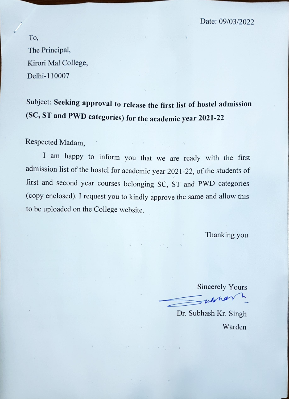Date: 09/03/2022

To, The Principal, Kirori Mal College, Delhi-110007

Subject: Seeking approval to release the first list of hostel admission (SC, ST and PWD categories) for the academic year 2021-22

 $1 - 1 - 133 - 4$ 

 $\mathbb{E}[\mathcal{L}^{\mathcal{L}}]$  , and  $\mathcal{L}^{\mathcal{L}}$  and  $\mathcal{L}^{\mathcal{L}}$  , and  $\mathcal{L}^{\mathcal{L}}$  , and  $\mathcal{L}^{\mathcal{L}}$ 

 $\mathcal{A}$  and  $\mathcal{A}$ 

Respected Madam,

am happy to inform you that we are ready with the first admission list of the hostel for academic year 2021-22, of the students of first and second year courses belonging SC, ST and PWD categories (Copy enclosed). <sup>I</sup> request you to kindly approve the same and allow this to be uploaded on the College website.

 $\label{eq:1} \mathcal{I}^{\mathcal{I}}\otimes\mathcal{I}^{\mathcal{I}}\otimes\mathcal{I}^{\mathcal{I}}\otimes\mathcal{I}^{\mathcal{I}}\otimes\mathcal{I}^{\mathcal{I}}\otimes\mathcal{I}^{\mathcal{I}}\otimes\mathcal{I}^{\mathcal{I}}\otimes\mathcal{I}^{\mathcal{I}}\otimes\mathcal{I}^{\mathcal{I}}\otimes\mathcal{I}^{\mathcal{I}}\otimes\mathcal{I}^{\mathcal{I}}\otimes\mathcal{I}^{\mathcal{I}}\otimes\mathcal{I}^{\mathcal{I}}\otimes\mathcal{I$ 

Thanking you

Sincerely Yours ukha

Dr. Subhash Kr. Singh Warden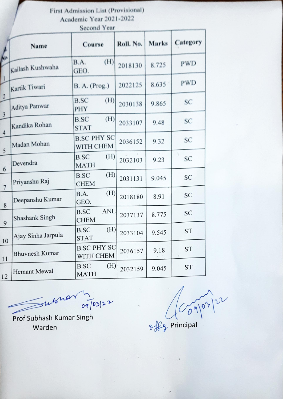First Admission List (Provisional) Academic Year 2021-2022

|                                           | <b>Second Lem</b>     |                                   |           |              |            |  |
|-------------------------------------------|-----------------------|-----------------------------------|-----------|--------------|------------|--|
|                                           | Name                  | Course                            | Roll. No. | <b>Marks</b> | Category   |  |
|                                           | Kailash Kushwaha      | (H)<br>B.A.<br>GEO.               | 2018130   | 8.725        | <b>PWD</b> |  |
|                                           | Kartik Tiwari         | <b>B. A.</b> (Prog.)              | 2022125   | 8.635        | <b>PWD</b> |  |
| $\overline{2}$                            | Aditya Panwar         | <b>B.SC</b><br>(H)<br>PHY         | 2030138   | 9.865        | SC         |  |
| $\overline{\mathbf{3}}$<br>$\overline{4}$ | Kandika Rohan         | <b>B.SC</b><br>(H)<br><b>STAT</b> | 2033107   | 9.48         | SC         |  |
| 5                                         | Madan Mohan           | <b>B.SC PHY SC</b><br>WITH CHEM   | 2036152   | 9.32         | SC         |  |
| 6                                         | Devendra              | B.SC<br>(H)<br><b>MATH</b>        | 2032103   | 9.23         | SC         |  |
| $\overline{7}$                            | Priyanshu Raj         | (H)<br><b>B.SC</b><br><b>CHEM</b> | 2031131   | 9.045        | SC         |  |
| 8                                         | Deepanshu Kumar       | (H)<br>B.A.<br>GEO.               | 2018180   | 8.91         | SC         |  |
| 9                                         | <b>Shashank Singh</b> | ANL<br><b>B.SC</b><br><b>CHEM</b> | 2037137   | 8.775        | SC         |  |
| 10                                        | Ajay Sinha Jarpula    | (H)<br><b>B.SC</b><br><b>STAT</b> | 2033104   | 9.545        | <b>ST</b>  |  |
| 11                                        | <b>Bhuvnesh Kumar</b> | <b>B.SC PHY SC</b><br>WITH CHEM   | 2036157   | 9.18         | <b>ST</b>  |  |
| 12                                        | <b>Hemant Mewal</b>   | <b>B.SC</b><br>(H)<br><b>MATH</b> | 2032159   | 9.045        | <b>ST</b>  |  |

 $\gg w$ 

Prof Subhash Kumar Singh Warden Principal

0/03/2 0>/u

 $\label{eq:2.1} \begin{array}{cccccccccccccc} \alpha & \alpha & \alpha & \alpha & \alpha & \alpha & \alpha & \alpha & \alpha & \alpha & \alpha & \alpha & \alpha \end{array}$